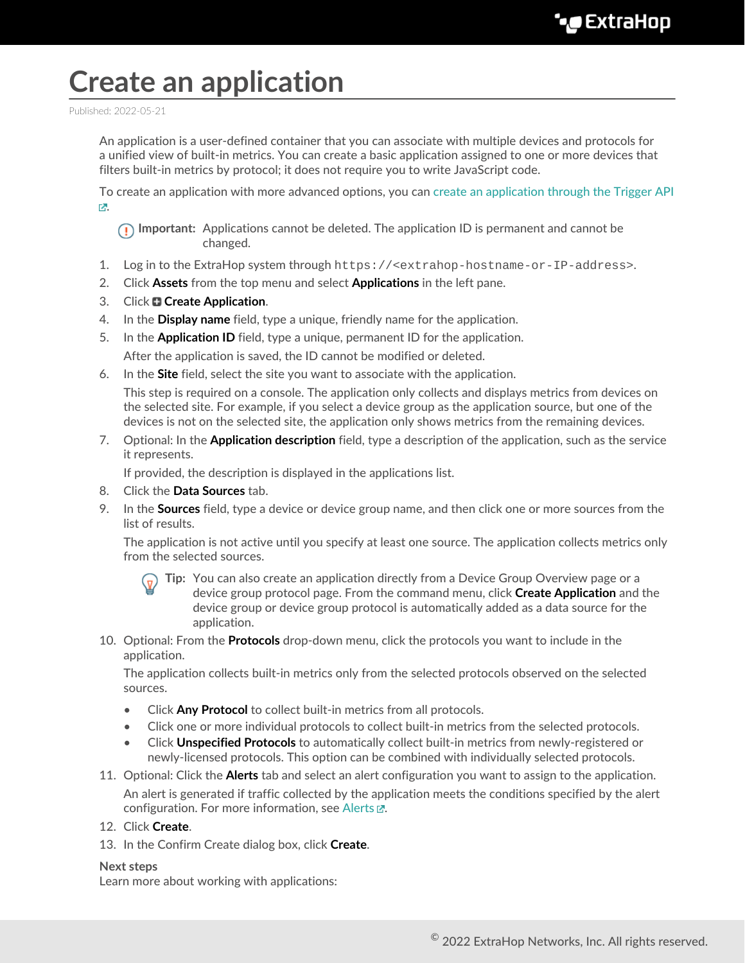## **Create an application**

Published: 2022-05-21

An application is a user-defined container that you can associate with multiple devices and protocols for a unified view of built-in metrics. You can create a basic application assigned to one or more devices that filters built-in metrics by protocol; it does not require you to write JavaScript code.

To create an application with more advanced options, you can [create an application through the Trigger API](https://docs.extrahop.com/8.9/applications-create-through-trigger-api) [.](https://docs.extrahop.com/8.9/applications-create-through-trigger-api)

**Important:** Applications cannot be deleted. The application ID is permanent and cannot be changed.

- 1. Log in to the ExtraHop system through https://<extrahop-hostname-or-IP-address>.
- 2. Click **Assets** from the top menu and select **Applications** in the left pane.
- 3. Click **Create Application**.
- 4. In the **Display name** field, type a unique, friendly name for the application.
- 5. In the **Application ID** field, type a unique, permanent ID for the application. After the application is saved, the ID cannot be modified or deleted.
- 6. In the **Site** field, select the site you want to associate with the application.

This step is required on a console. The application only collects and displays metrics from devices on the selected site. For example, if you select a device group as the application source, but one of the devices is not on the selected site, the application only shows metrics from the remaining devices.

7. Optional: In the **Application description** field, type a description of the application, such as the service it represents.

If provided, the description is displayed in the applications list.

- 8. Click the **Data Sources** tab.
- 9. In the **Sources** field, type a device or device group name, and then click one or more sources from the list of results.

The application is not active until you specify at least one source. The application collects metrics only from the selected sources.

- **Tip:** You can also create an application directly from a Device Group Overview page or a device group protocol page. From the command menu, click **Create Application** and the device group or device group protocol is automatically added as a data source for the application.
- 10. Optional: From the **Protocols** drop-down menu, click the protocols you want to include in the application.

The application collects built-in metrics only from the selected protocols observed on the selected sources.

- Click **Any Protocol** to collect built-in metrics from all protocols.
- Click one or more individual protocols to collect built-in metrics from the selected protocols.
- Click **Unspecified Protocols** to automatically collect built-in metrics from newly-registered or newly-licensed protocols. This option can be combined with individually selected protocols.
- 11. Optional: Click the **Alerts** tab and select an alert configuration you want to assign to the application. An alert is generated if traffic collected by the application meets the conditions specified by the alert configuration. For more information, see [Alerts](https://docs.extrahop.com/8.9/alerts)  $\mathbb{R}$ .
- 12. Click **Create**.
- 13. In the Confirm Create dialog box, click **Create**.

## **Next steps**

Learn more about working with applications: